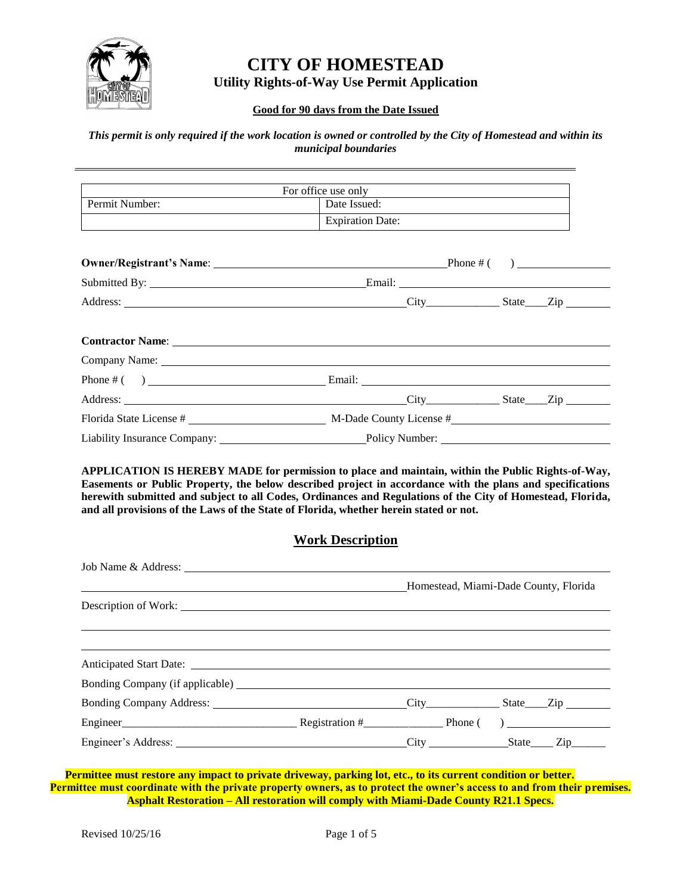

# **CITY OF HOMESTEAD Utility Rights-of-Way Use Permit Application**

## **Good for 90 days from the Date Issued**

## *This permit is only required if the work location is owned or controlled by the City of Homestead and within its municipal boundaries*

|                                                                                                                                                                                                                                | For office use only     |  |  |
|--------------------------------------------------------------------------------------------------------------------------------------------------------------------------------------------------------------------------------|-------------------------|--|--|
| Permit Number:                                                                                                                                                                                                                 | Date Issued:            |  |  |
|                                                                                                                                                                                                                                | <b>Expiration Date:</b> |  |  |
|                                                                                                                                                                                                                                |                         |  |  |
|                                                                                                                                                                                                                                |                         |  |  |
|                                                                                                                                                                                                                                |                         |  |  |
|                                                                                                                                                                                                                                | Address: City State Zip |  |  |
|                                                                                                                                                                                                                                |                         |  |  |
| Contractor Name: Name: Name of Second Second Second Second Second Second Second Second Second Second Second Second Second Second Second Second Second Second Second Second Second Second Second Second Second Second Second Se |                         |  |  |
|                                                                                                                                                                                                                                |                         |  |  |
|                                                                                                                                                                                                                                |                         |  |  |
|                                                                                                                                                                                                                                |                         |  |  |
|                                                                                                                                                                                                                                |                         |  |  |
|                                                                                                                                                                                                                                |                         |  |  |

**APPLICATION IS HEREBY MADE for permission to place and maintain, within the Public Rights-of-Way, Easements or Public Property, the below described project in accordance with the plans and specifications herewith submitted and subject to all Codes, Ordinances and Regulations of the City of Homestead, Florida, and all provisions of the Laws of the State of Florida, whether herein stated or not.** 

## **Work Description**

|                                              |  | Homestead, Miami-Dade County, Florida |
|----------------------------------------------|--|---------------------------------------|
|                                              |  |                                       |
|                                              |  |                                       |
|                                              |  |                                       |
|                                              |  |                                       |
|                                              |  |                                       |
| Bonding Company Address: City City State Zip |  |                                       |
|                                              |  |                                       |
|                                              |  |                                       |

**Permittee must restore any impact to private driveway, parking lot, etc., to its current condition or better. Permittee must coordinate with the private property owners, as to protect the owner's access to and from their premises. Asphalt Restoration – All restoration will comply with Miami-Dade County R21.1 Specs.**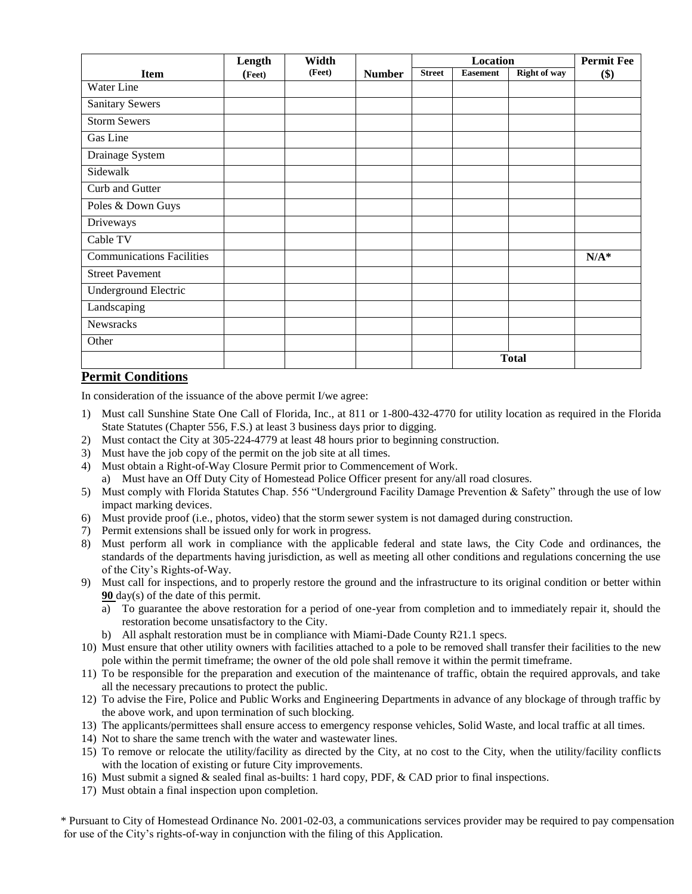|                                  | Length | Width  |               |               | Location        |                     | <b>Permit Fee</b> |
|----------------------------------|--------|--------|---------------|---------------|-----------------|---------------------|-------------------|
| <b>Item</b>                      | (Feet) | (Feet) | <b>Number</b> | <b>Street</b> | <b>Easement</b> | <b>Right of way</b> | \$)               |
| Water Line                       |        |        |               |               |                 |                     |                   |
| <b>Sanitary Sewers</b>           |        |        |               |               |                 |                     |                   |
| <b>Storm Sewers</b>              |        |        |               |               |                 |                     |                   |
| Gas Line                         |        |        |               |               |                 |                     |                   |
| Drainage System                  |        |        |               |               |                 |                     |                   |
| Sidewalk                         |        |        |               |               |                 |                     |                   |
| Curb and Gutter                  |        |        |               |               |                 |                     |                   |
| Poles & Down Guys                |        |        |               |               |                 |                     |                   |
| Driveways                        |        |        |               |               |                 |                     |                   |
| Cable TV                         |        |        |               |               |                 |                     |                   |
| <b>Communications Facilities</b> |        |        |               |               |                 |                     | $N/A^*$           |
| <b>Street Pavement</b>           |        |        |               |               |                 |                     |                   |
| <b>Underground Electric</b>      |        |        |               |               |                 |                     |                   |
| Landscaping                      |        |        |               |               |                 |                     |                   |
| Newsracks                        |        |        |               |               |                 |                     |                   |
| Other                            |        |        |               |               |                 |                     |                   |
|                                  |        |        |               |               |                 | <b>Total</b>        |                   |

## **Permit Conditions**

In consideration of the issuance of the above permit I/we agree:

- 1) Must call Sunshine State One Call of Florida, Inc., at 811 or 1-800-432-4770 for utility location as required in the Florida State Statutes (Chapter 556, F.S.) at least 3 business days prior to digging.
- 2) Must contact the City at 305-224-4779 at least 48 hours prior to beginning construction.
- 3) Must have the job copy of the permit on the job site at all times.
- 4) Must obtain a Right-of-Way Closure Permit prior to Commencement of Work. a) Must have an Off Duty City of Homestead Police Officer present for any/all road closures.
- 5) Must comply with Florida Statutes Chap. 556 "Underground Facility Damage Prevention & Safety" through the use of low impact marking devices.
- 6) Must provide proof (i.e., photos, video) that the storm sewer system is not damaged during construction.
- 7) Permit extensions shall be issued only for work in progress.
- 8) Must perform all work in compliance with the applicable federal and state laws, the City Code and ordinances, the standards of the departments having jurisdiction, as well as meeting all other conditions and regulations concerning the use of the City's Rights-of-Way.
- 9) Must call for inspections, and to properly restore the ground and the infrastructure to its original condition or better within **90** day(s) of the date of this permit.
	- a) To guarantee the above restoration for a period of one-year from completion and to immediately repair it, should the restoration become unsatisfactory to the City.
	- b) All asphalt restoration must be in compliance with Miami-Dade County R21.1 specs.
- 10) Must ensure that other utility owners with facilities attached to a pole to be removed shall transfer their facilities to the new pole within the permit timeframe; the owner of the old pole shall remove it within the permit timeframe.
- 11) To be responsible for the preparation and execution of the maintenance of traffic, obtain the required approvals, and take all the necessary precautions to protect the public.
- 12) To advise the Fire, Police and Public Works and Engineering Departments in advance of any blockage of through traffic by the above work, and upon termination of such blocking.
- 13) The applicants/permittees shall ensure access to emergency response vehicles, Solid Waste, and local traffic at all times.
- 14) Not to share the same trench with the water and wastewater lines.
- 15) To remove or relocate the utility/facility as directed by the City, at no cost to the City, when the utility/facility conflicts with the location of existing or future City improvements.
- 16) Must submit a signed & sealed final as-builts: 1 hard copy, PDF, & CAD prior to final inspections.
- 17) Must obtain a final inspection upon completion.

for use of the City's rights-of-way in conjunction with the filing of this Application. \* Pursuant to City of Homestead Ordinance No. 2001-02-03, a communications services provider may be required to pay compensation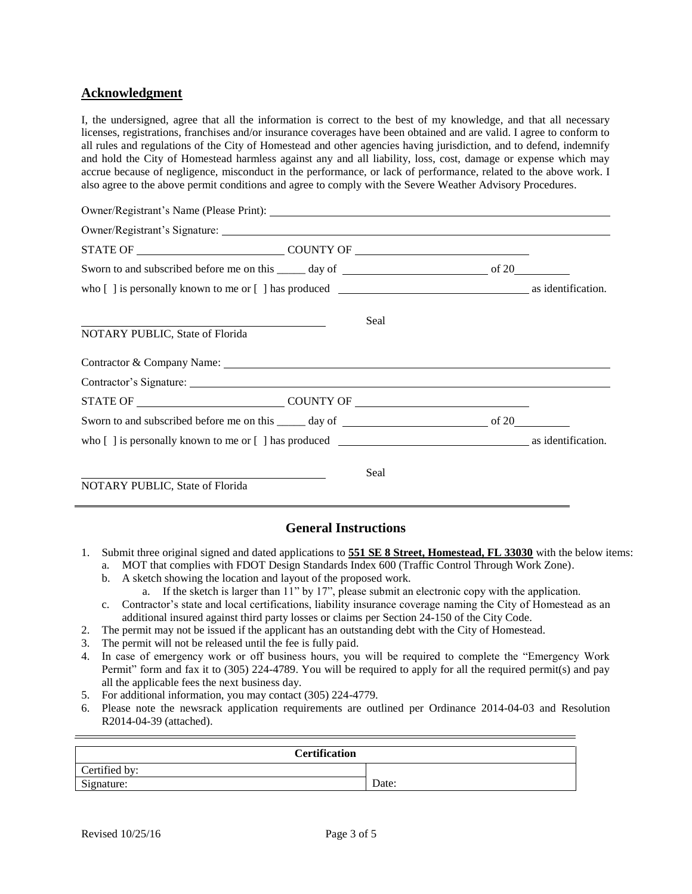## **Acknowledgment**

I, the undersigned, agree that all the information is correct to the best of my knowledge, and that all necessary licenses, registrations, franchises and/or insurance coverages have been obtained and are valid. I agree to conform to all rules and regulations of the City of Homestead and other agencies having jurisdiction, and to defend, indemnify and hold the City of Homestead harmless against any and all liability, loss, cost, damage or expense which may accrue because of negligence, misconduct in the performance, or lack of performance, related to the above work. I also agree to the above permit conditions and agree to comply with the Severe Weather Advisory Procedures.

|                                 | Seal               |  |
|---------------------------------|--------------------|--|
| NOTARY PUBLIC, State of Florida |                    |  |
|                                 |                    |  |
|                                 |                    |  |
|                                 | STATE OF COUNTY OF |  |
|                                 |                    |  |
|                                 |                    |  |
|                                 | Seal               |  |
| NOTARY PUBLIC, State of Florida |                    |  |

## **General Instructions**

- 1. Submit three original signed and dated applications to **551 SE 8 Street, Homestead, FL 33030** with the below items:
	- a. MOT that complies with FDOT Design Standards Index 600 (Traffic Control Through Work Zone).
	- b. A sketch showing the location and layout of the proposed work. a. If the sketch is larger than 11" by 17", please submit an electronic copy with the application.
	- c. Contractor's state and local certifications, liability insurance coverage naming the City of Homestead as an additional insured against third party losses or claims per Section 24-150 of the City Code.
- 2. The permit may not be issued if the applicant has an outstanding debt with the City of Homestead.
- 3. The permit will not be released until the fee is fully paid.
- 4. In case of emergency work or off business hours, you will be required to complete the "Emergency Work Permit" form and fax it to (305) 224-4789. You will be required to apply for all the required permit(s) and pay all the applicable fees the next business day.
- 5. For additional information, you may contact (305) 224-4779.
- 6. Please note the newsrack application requirements are outlined per Ordinance 2014-04-03 and Resolution R2014-04-39 (attached).

| <b>Certification</b> |       |  |
|----------------------|-------|--|
| Certified by:        |       |  |
| Signature:           | Date: |  |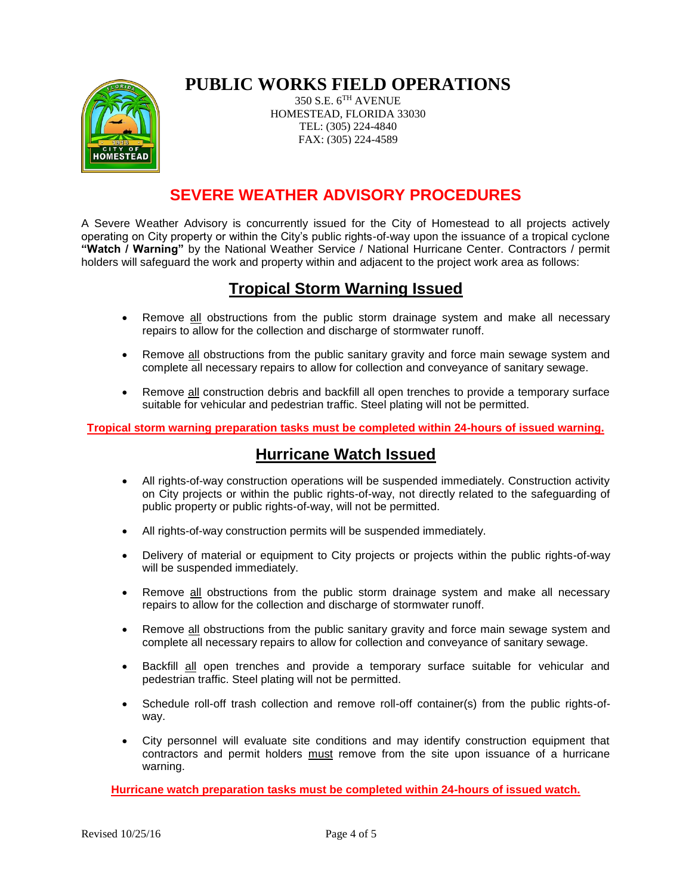# **PUBLIC WORKS FIELD OPERATIONS**

350 S.E. 6TH AVENUE HOMESTEAD, FLORIDA 33030 TEL: (305) 224-4840 FAX: (305) 224-4589

# **SEVERE WEATHER ADVISORY PROCEDURES**

A Severe Weather Advisory is concurrently issued for the City of Homestead to all projects actively operating on City property or within the City's public rights-of-way upon the issuance of a tropical cyclone **"Watch / Warning"** by the National Weather Service / National Hurricane Center. Contractors / permit holders will safeguard the work and property within and adjacent to the project work area as follows:

# **Tropical Storm Warning Issued**

- Remove all obstructions from the public storm drainage system and make all necessary repairs to allow for the collection and discharge of stormwater runoff.
- Remove all obstructions from the public sanitary gravity and force main sewage system and complete all necessary repairs to allow for collection and conveyance of sanitary sewage.
- Remove all construction debris and backfill all open trenches to provide a temporary surface suitable for vehicular and pedestrian traffic. Steel plating will not be permitted.

**Tropical storm warning preparation tasks must be completed within 24-hours of issued warning.**

# **Hurricane Watch Issued**

- All rights-of-way construction operations will be suspended immediately. Construction activity on City projects or within the public rights-of-way, not directly related to the safeguarding of public property or public rights-of-way, will not be permitted.
- All rights-of-way construction permits will be suspended immediately.
- Delivery of material or equipment to City projects or projects within the public rights-of-way will be suspended immediately.
- Remove all obstructions from the public storm drainage system and make all necessary repairs to allow for the collection and discharge of stormwater runoff.
- Remove all obstructions from the public sanitary gravity and force main sewage system and complete all necessary repairs to allow for collection and conveyance of sanitary sewage.
- Backfill all open trenches and provide a temporary surface suitable for vehicular and pedestrian traffic. Steel plating will not be permitted.
- Schedule roll-off trash collection and remove roll-off container(s) from the public rights-ofway.
- City personnel will evaluate site conditions and may identify construction equipment that contractors and permit holders must remove from the site upon issuance of a hurricane warning.

**Hurricane watch preparation tasks must be completed within 24-hours of issued watch.**